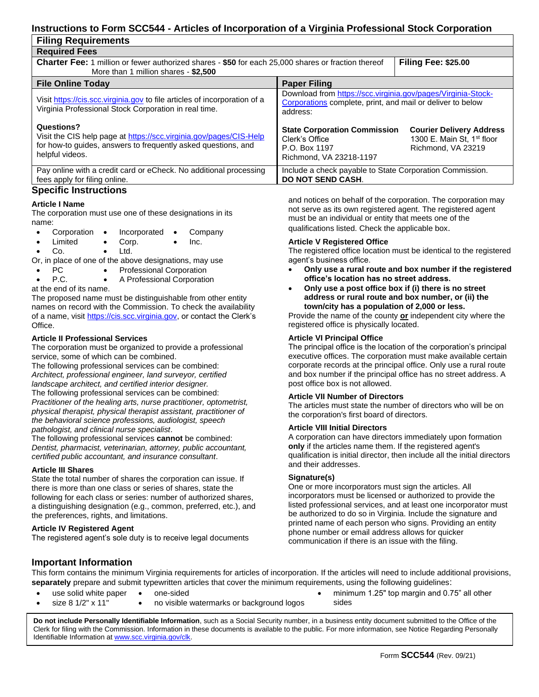# **Instructions to Form SCC544 - Articles of Incorporation of a Virginia Professional Stock Corporation**

| <b>Filing Requirements</b>                                                                                                                                           |                                                                                                                                        |                                                                                                 |  |  |  |  |  |  |
|----------------------------------------------------------------------------------------------------------------------------------------------------------------------|----------------------------------------------------------------------------------------------------------------------------------------|-------------------------------------------------------------------------------------------------|--|--|--|--|--|--|
| <b>Required Fees</b>                                                                                                                                                 |                                                                                                                                        |                                                                                                 |  |  |  |  |  |  |
| <b>Charter Fee:</b> 1 million or fewer authorized shares - \$50 for each 25,000 shares or fraction thereof<br>More than 1 million shares - \$2,500                   | <b>Filing Fee: \$25.00</b>                                                                                                             |                                                                                                 |  |  |  |  |  |  |
| <b>File Online Today</b>                                                                                                                                             | <b>Paper Filing</b>                                                                                                                    |                                                                                                 |  |  |  |  |  |  |
| Visit https://cis.scc.virginia.gov to file articles of incorporation of a<br>Virginia Professional Stock Corporation in real time.                                   | Download from https://scc.virginia.gov/pages/Virginia-Stock-<br>Corporations complete, print, and mail or deliver to below<br>address: |                                                                                                 |  |  |  |  |  |  |
| Questions?<br>Visit the CIS help page at https://scc.virginia.gov/pages/CIS-Help<br>for how-to guides, answers to frequently asked questions, and<br>helpful videos. | <b>State Corporation Commission</b><br>Clerk's Office<br>P.O. Box 1197<br>Richmond, VA 23218-1197                                      | <b>Courier Delivery Address</b><br>1300 E. Main St. 1 <sup>st</sup> floor<br>Richmond, VA 23219 |  |  |  |  |  |  |
| Pay online with a credit card or eCheck. No additional processing<br>fees apply for filing online.<br>On a alfla In atmosflama                                       | Include a check payable to State Corporation Commission.<br><b>DO NOT SEND CASH.</b>                                                   |                                                                                                 |  |  |  |  |  |  |

# **Specific Instructions**

# **Article I Name**

The corporation must use one of these designations in its name:

- Corporation Incorporated Company
	- Limited Corp. Inc.
	- Co. Ltd.

Or, in place of one of the above designations, may use

- PC Professional Corporation
	- P.C. A Professional Corporation

at the end of its name.

The proposed name must be distinguishable from other entity names on record with the Commission. To check the availability of a name, visit [https://cis.scc.virginia.gov,](https://cis.scc.virginia.gov/) or contact the Clerk's Office.

# **Article II Professional Services**

The corporation must be organized to provide a professional service, some of which can be combined.

The following professional services can be combined: *Architect, professional engineer, land surveyor, certified landscape architect, and certified interior designer.* The following professional services can be combined: *Practitioner of the healing arts, nurse practitioner, optometrist, physical therapist, physical therapist assistant, practitioner of the behavioral science professions, audiologist, speech pathologist, and clinical nurse specialist*.

The following professional services **cannot** be combined: *Dentist, pharmacist, veterinarian, attorney, public accountant, certified public accountant, and insurance consultant*.

#### **Article III Shares**

State the total number of shares the corporation can issue. If there is more than one class or series of shares, state the following for each class or series: number of authorized shares, a distinguishing designation (e.g., common, preferred, etc.), and the preferences, rights, and limitations.

#### **Article IV Registered Agent**

The registered agent's sole duty is to receive legal documents

and notices on behalf of the corporation. The corporation may not serve as its own registered agent. The registered agent must be an individual or entity that meets one of the qualifications listed. Check the applicable box.

#### **Article V Registered Office**

The registered office location must be identical to the registered agent's business office.

- **Only use a rural route and box number if the registered office's location has no street address.**
- **Only use a post office box if (i) there is no street address or rural route and box number, or (ii) the town/city has a population of 2,000 or less.**

Provide the name of the county **or** independent city where the registered office is physically located.

### **Article VI Principal Office**

The principal office is the location of the corporation's principal executive offices. The corporation must make available certain corporate records at the principal office. Only use a rural route and box number if the principal office has no street address. A post office box is not allowed.

#### **Article VII Number of Directors**

The articles must state the number of directors who will be on the corporation's first board of directors.

#### **Article VIII Initial Directors**

A corporation can have directors immediately upon formation **only** if the articles name them. If the registered agent's qualification is initial director, then include all the initial directors and their addresses.

#### **Signature(s)**

One or more incorporators must sign the articles. All incorporators must be licensed or authorized to provide the listed professional services, and at least one incorporator must be authorized to do so in Virginia. Include the signature and printed name of each person who signs. Providing an entity phone number or email address allows for quicker communication if there is an issue with the filing.

**Important Information**

• size 8 1/2" x 11"

This form contains the minimum Virginia requirements for articles of incorporation. If the articles will need to include additional provisions, **separately** prepare and submit typewritten articles that cover the minimum requirements, using the following guidelines:

- use solid white paper
	- one-sided • no visible watermarks or background logos
- minimum 1.25" top margin and 0.75" all other sides

 Clerk for filing with the Commission. Information in these documents is available to the public. For more information, see Notice Regarding Personally **Do not include Personally Identifiable Information**, such as a Social Security number, in a business entity document submitted to the Office of the Identifiable Information at [www.scc.virginia.gov/clk.](http://www.scc.virginia.gov/clk)